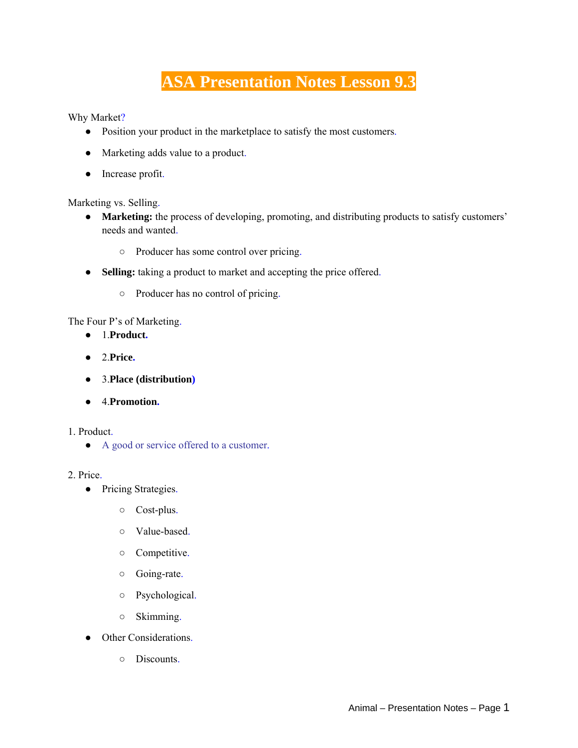# **ASA Presentation Notes Lesson 9.3**

Why Market?

- Position your product in the marketplace to satisfy the most customers.
- Marketing adds value to a product.
- Increase profit.

Marketing vs. Selling.

- **Marketing:** the process of developing, promoting, and distributing products to satisfy customers' needs and wanted.
	- Producer has some control over pricing.
- **Selling:** taking a product to market and accepting the price offered.
	- Producer has no control of pricing.

The Four P's of Marketing.

- 1.**Product.**
- 2.**Price.**
- 3.**Place (distribution)**
- 4.**Promotion.**

1. Product.

● A good or service offered to a customer.

#### 2. Price.

- Pricing Strategies.
	- Cost-plus.
	- Value-based.
	- Competitive.
	- Going-rate.
	- Psychological.
	- Skimming.
- Other Considerations.
	- Discounts.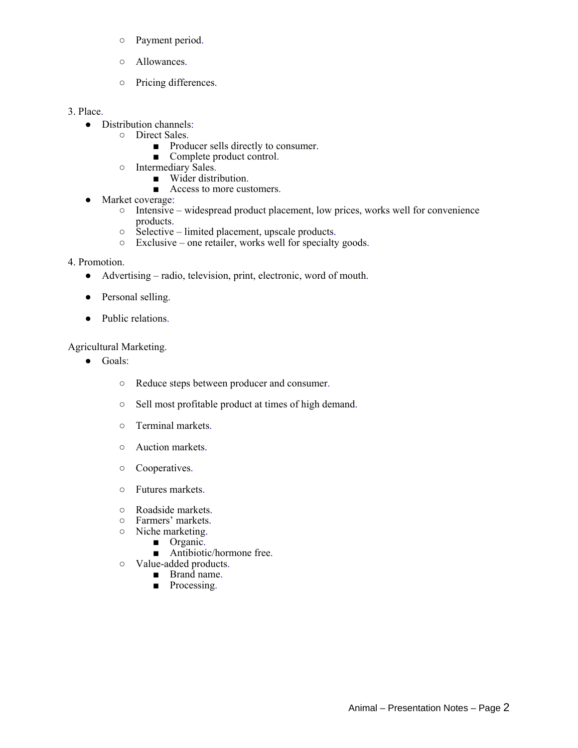- Payment period.
- Allowances.
- Pricing differences.

#### 3. Place.

- Distribution channels:
	- Direct Sales.
		- Producer sells directly to consumer.
		- Complete product control.
		- Intermediary Sales.
			- Wider distribution.
			- Access to more customers.
- Market coverage:
	- Intensive widespread product placement, low prices, works well for convenience products.
	- Selective limited placement, upscale products.
	- Exclusive one retailer, works well for specialty goods.

## 4. Promotion.

- Advertising radio, television, print, electronic, word of mouth.
- Personal selling.
- Public relations.

## Agricultural Marketing.

- Goals:
	- Reduce steps between producer and consumer.
	- Sell most profitable product at times of high demand.
	- Terminal markets.
	- Auction markets.
	- Cooperatives.
	- Futures markets.
	- Roadside markets.
	- Farmers' markets.
	- Niche marketing.
		- Organic.
		- Antibiotic/hormone free.
	- Value-added products.
		- Brand name.
		- Processing.